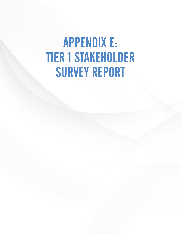# APPENDIX E: TIER 1 STAKEHOLDER SURVEY REPORT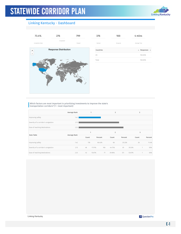

#### Linking Kentucky - Dashboard



| 376       | 100      | 4 mins                                     |
|-----------|----------|--------------------------------------------|
| Started   | Dropouts | Average Time                               |
| Countries |          | Responses $\triangleleft$<br>$\Rightarrow$ |
| US        |          | 100.00%                                    |
| Total     |          | 100.00%                                    |

Which factors are most important in prioritizing investments to improve the state's transportation corridors? (1 = most important)

|                                     | Average Rank |              | 1      |         | 2              |         |        | 3     |         |
|-------------------------------------|--------------|--------------|--------|---------|----------------|---------|--------|-------|---------|
| Improving safety                    | 1.42         |              |        |         |                |         |        |       |         |
| Severity of a corridor's congestion | 2.15         |              |        |         |                |         |        |       |         |
| Ease of reaching destinations       | 2.33         |              |        |         |                |         |        |       |         |
| Data Table                          |              | $\mathbf{1}$ |        |         | $\overline{2}$ |         |        | 3     |         |
|                                     | Average Rank | Count        |        | Percent | Count          | Percent |        | Count | Percent |
|                                     |              |              |        |         |                |         |        |       |         |
| Improving safety                    | 1.42         | 178          |        | 66.42%  | 60             | 25.32%  |        | 26    | 11.4%   |
| Severity of a corridor's congestion | 2.15         | 48           | 17.91% | 106     | 44.73%         | 81      | 35.53% |       | 50%     |

Linking Kentucky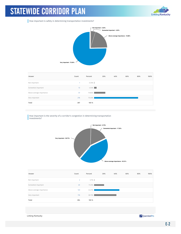

How important is safety in determining transportation investments?



| Answer                   | Count | Percent  | 20% | 40% | 60% | 80% | 100% |
|--------------------------|-------|----------|-----|-----|-----|-----|------|
| Not important            | 1     | $0.35\%$ |     |     |     |     |      |
| Somewhat important       | 13    | 4.53%    |     |     |     |     |      |
| Above average importance | 57    | 19.86%   |     |     |     |     |      |
| Very important           | 216   | 75.26%   |     |     |     |     |      |
| Total                    | 287   | 100 %    |     |     |     |     |      |

How important is the severity of a corridor's congestion in determining transportation investments?



| Answer                   | Count          | Percent | 20% | 40% | 60% | 80% | 100% |
|--------------------------|----------------|---------|-----|-----|-----|-----|------|
| Not important            | $\overline{2}$ | $0.7\%$ |     |     |     |     |      |
| Somewhat important       | 49             | 17.25%  |     |     |     |     |      |
| Above average importance | 123            | 43.31%  |     |     |     |     |      |
| Very important           | 110            | 38.73%  |     |     |     |     |      |
| Total                    | 284            | 100 %   |     |     |     |     |      |

Linking Kentucky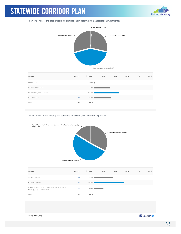

How important is the ease of reaching destinations in determining transportation investments?



| Answer                   | Count | Percent  | 20% | 40% | 60% | 80% | 100% |
|--------------------------|-------|----------|-----|-----|-----|-----|------|
| Not important            | 4     | $1.41\%$ |     |     |     |     |      |
| Somewhat important       | 77    | 27.11%   |     |     |     |     |      |
| Above average importance | 120   | 42.25%   |     |     |     |     |      |
| Very important           | 83    | 29.23%   |     |     |     |     |      |
| Total                    | 284   | 100 %    |     |     |     |     |      |

When looking at the severity of a corridor's congestion, which is more important:



| Answer                                                                                     | Count | Percent | 20% | 40% | 60% | 80% | 100% |
|--------------------------------------------------------------------------------------------|-------|---------|-----|-----|-----|-----|------|
| Current congestion                                                                         | 93    | 32.75%  |     |     |     |     |      |
| Future congestion                                                                          | 145   | 51.06%  |     |     |     |     |      |
| Maintaining corridor's direct connection to a logistic<br>hub (e.g., airport, ports, etc.) | 46    | 16.2%   |     |     |     |     |      |
| Total                                                                                      | 284   | 100 %   |     |     |     |     |      |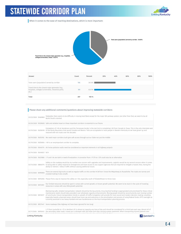

When it comes to the ease of reaching destinations, which is more important:



| Answer                                                                                                            | Count | Percent | 20% | 40% | 60% | 80% | 100% |
|-------------------------------------------------------------------------------------------------------------------|-------|---------|-----|-----|-----|-----|------|
| Total users (population) served by corridor                                                                       | 106   | 36.93%  |     |     |     |     |      |
| Travel time to the closest major generator (e.g.,<br>hospitals, colleges/universities, industrial parks,<br>etc.) | 181   | 63.07%  |     |     |     |     |      |
| Total                                                                                                             | 287   | 100 %   |     |     |     |     |      |

#### Please share any additional comments/questions about improving statewide corridors:

| 03/20/2020 59339005 Safe and reliable travel on these important corridors is essential to our future.<br>Completion of I-69 at Henderson and the Tennessee border is the last link to completing I-69 from Canada to Texas. This is the only Interstate east<br>03/19/2020 59259018 of the Rocky Mountains that would Canada and Mexico. Tolls are acceptable to most people in Western Kentucky as we have grown up and<br>matured with toll roads over the decades.<br>03/19/2020 59253192 We need major corridors built give safe access through out our State not just the middle<br>03/19/2020 59250654 I-69 is an veryimportant corridor to complete.<br>03/19/2020 59240774 Air/noise pollution walls need be considered as important elements in all highway projects<br>03/19/2020 59240021 N/A<br>03/19/2020 59237860 171 and 164 are both in need of evaluation. A connector from 171/75 to 1275 could also be an alternative.<br>Safety on the roadway would be my number one concern with upgrades and improvements. Logistics would be my second concern when it comes<br>03/13/2020 58840774 to being able to safely respond to emergencies and have access to any support agencies that are required to mitigate a hazard. Also, having the<br>ability to redirect / detour traffic without causing additional issues.<br>There are several big trucks as well as regular traffic on this corridor #38 from I know the WKparkway to Russellville. The roads are narrow and<br>03/12/2020 58785856<br>crooked making it very unsafe.<br>03/12/2020 58752506 Please find a way to improve the safety on I-65, especially south of Elizabethtown to Horse Cave.<br>Our limited resources should be spent in areas with current growth, or known growth potential. We seem to be stuck in the cycle of investing<br>03/12/2020 58733361<br>resources in areas with very little growth potential.<br>Maintaining safe, reliable transportation network should be the top priority. Ensuring that funding is appropriated and prioritized for these critical<br>maintenance needs should take precedent over wholesale capacity enhancements. Moving people should be second priority over moving number<br>03/12/2020 58729217 of cars/trucks. Future transportation trends vs. growth of traffic/congestion will provide for more sound and modern decision making. Localities,<br>especially heavily urbanized areas, should have more say and autonomy in the prioritization and process of using federal funds. KYTC oversight as<br>currently practiced is too heavy-handed and over-burdensome on the local transportation planning process.<br>03/12/2020 58727447 Some roadways (like Highway 44) have been ignored for too long!<br>I-71 from Louisville to I-75 in Northern KY is almost at capacity any time of day and should be considered for a third lane each way. Almost all of<br>03/11/2020 58705612 the secondary state roads I travel are in disrepair with pot holes and slips causing uneven pavement. When transporting injured patients over | 03/23/2020 59483863 | Statewide, there seems to be difficulty in moving East/West except for the major WK parkway system, but other than that, we seem to be all<br>North/South oriented. |
|----------------------------------------------------------------------------------------------------------------------------------------------------------------------------------------------------------------------------------------------------------------------------------------------------------------------------------------------------------------------------------------------------------------------------------------------------------------------------------------------------------------------------------------------------------------------------------------------------------------------------------------------------------------------------------------------------------------------------------------------------------------------------------------------------------------------------------------------------------------------------------------------------------------------------------------------------------------------------------------------------------------------------------------------------------------------------------------------------------------------------------------------------------------------------------------------------------------------------------------------------------------------------------------------------------------------------------------------------------------------------------------------------------------------------------------------------------------------------------------------------------------------------------------------------------------------------------------------------------------------------------------------------------------------------------------------------------------------------------------------------------------------------------------------------------------------------------------------------------------------------------------------------------------------------------------------------------------------------------------------------------------------------------------------------------------------------------------------------------------------------------------------------------------------------------------------------------------------------------------------------------------------------------------------------------------------------------------------------------------------------------------------------------------------------------------------------------------------------------------------------------------------------------------------------------------------------------------------------------------------------------------------------------------------------------------------------------------------------------------------------------------------------------------------------------------------------------------------------------------------------------------------------------------------------------------------------------------------------------------------------------------------------------------------------------------------------------|---------------------|---------------------------------------------------------------------------------------------------------------------------------------------------------------------|
|                                                                                                                                                                                                                                                                                                                                                                                                                                                                                                                                                                                                                                                                                                                                                                                                                                                                                                                                                                                                                                                                                                                                                                                                                                                                                                                                                                                                                                                                                                                                                                                                                                                                                                                                                                                                                                                                                                                                                                                                                                                                                                                                                                                                                                                                                                                                                                                                                                                                                                                                                                                                                                                                                                                                                                                                                                                                                                                                                                                                                                                                                  |                     |                                                                                                                                                                     |
|                                                                                                                                                                                                                                                                                                                                                                                                                                                                                                                                                                                                                                                                                                                                                                                                                                                                                                                                                                                                                                                                                                                                                                                                                                                                                                                                                                                                                                                                                                                                                                                                                                                                                                                                                                                                                                                                                                                                                                                                                                                                                                                                                                                                                                                                                                                                                                                                                                                                                                                                                                                                                                                                                                                                                                                                                                                                                                                                                                                                                                                                                  |                     |                                                                                                                                                                     |
|                                                                                                                                                                                                                                                                                                                                                                                                                                                                                                                                                                                                                                                                                                                                                                                                                                                                                                                                                                                                                                                                                                                                                                                                                                                                                                                                                                                                                                                                                                                                                                                                                                                                                                                                                                                                                                                                                                                                                                                                                                                                                                                                                                                                                                                                                                                                                                                                                                                                                                                                                                                                                                                                                                                                                                                                                                                                                                                                                                                                                                                                                  |                     |                                                                                                                                                                     |
|                                                                                                                                                                                                                                                                                                                                                                                                                                                                                                                                                                                                                                                                                                                                                                                                                                                                                                                                                                                                                                                                                                                                                                                                                                                                                                                                                                                                                                                                                                                                                                                                                                                                                                                                                                                                                                                                                                                                                                                                                                                                                                                                                                                                                                                                                                                                                                                                                                                                                                                                                                                                                                                                                                                                                                                                                                                                                                                                                                                                                                                                                  |                     |                                                                                                                                                                     |
|                                                                                                                                                                                                                                                                                                                                                                                                                                                                                                                                                                                                                                                                                                                                                                                                                                                                                                                                                                                                                                                                                                                                                                                                                                                                                                                                                                                                                                                                                                                                                                                                                                                                                                                                                                                                                                                                                                                                                                                                                                                                                                                                                                                                                                                                                                                                                                                                                                                                                                                                                                                                                                                                                                                                                                                                                                                                                                                                                                                                                                                                                  |                     |                                                                                                                                                                     |
|                                                                                                                                                                                                                                                                                                                                                                                                                                                                                                                                                                                                                                                                                                                                                                                                                                                                                                                                                                                                                                                                                                                                                                                                                                                                                                                                                                                                                                                                                                                                                                                                                                                                                                                                                                                                                                                                                                                                                                                                                                                                                                                                                                                                                                                                                                                                                                                                                                                                                                                                                                                                                                                                                                                                                                                                                                                                                                                                                                                                                                                                                  |                     |                                                                                                                                                                     |
|                                                                                                                                                                                                                                                                                                                                                                                                                                                                                                                                                                                                                                                                                                                                                                                                                                                                                                                                                                                                                                                                                                                                                                                                                                                                                                                                                                                                                                                                                                                                                                                                                                                                                                                                                                                                                                                                                                                                                                                                                                                                                                                                                                                                                                                                                                                                                                                                                                                                                                                                                                                                                                                                                                                                                                                                                                                                                                                                                                                                                                                                                  |                     |                                                                                                                                                                     |
|                                                                                                                                                                                                                                                                                                                                                                                                                                                                                                                                                                                                                                                                                                                                                                                                                                                                                                                                                                                                                                                                                                                                                                                                                                                                                                                                                                                                                                                                                                                                                                                                                                                                                                                                                                                                                                                                                                                                                                                                                                                                                                                                                                                                                                                                                                                                                                                                                                                                                                                                                                                                                                                                                                                                                                                                                                                                                                                                                                                                                                                                                  |                     |                                                                                                                                                                     |
|                                                                                                                                                                                                                                                                                                                                                                                                                                                                                                                                                                                                                                                                                                                                                                                                                                                                                                                                                                                                                                                                                                                                                                                                                                                                                                                                                                                                                                                                                                                                                                                                                                                                                                                                                                                                                                                                                                                                                                                                                                                                                                                                                                                                                                                                                                                                                                                                                                                                                                                                                                                                                                                                                                                                                                                                                                                                                                                                                                                                                                                                                  |                     |                                                                                                                                                                     |
|                                                                                                                                                                                                                                                                                                                                                                                                                                                                                                                                                                                                                                                                                                                                                                                                                                                                                                                                                                                                                                                                                                                                                                                                                                                                                                                                                                                                                                                                                                                                                                                                                                                                                                                                                                                                                                                                                                                                                                                                                                                                                                                                                                                                                                                                                                                                                                                                                                                                                                                                                                                                                                                                                                                                                                                                                                                                                                                                                                                                                                                                                  |                     |                                                                                                                                                                     |
|                                                                                                                                                                                                                                                                                                                                                                                                                                                                                                                                                                                                                                                                                                                                                                                                                                                                                                                                                                                                                                                                                                                                                                                                                                                                                                                                                                                                                                                                                                                                                                                                                                                                                                                                                                                                                                                                                                                                                                                                                                                                                                                                                                                                                                                                                                                                                                                                                                                                                                                                                                                                                                                                                                                                                                                                                                                                                                                                                                                                                                                                                  |                     |                                                                                                                                                                     |
|                                                                                                                                                                                                                                                                                                                                                                                                                                                                                                                                                                                                                                                                                                                                                                                                                                                                                                                                                                                                                                                                                                                                                                                                                                                                                                                                                                                                                                                                                                                                                                                                                                                                                                                                                                                                                                                                                                                                                                                                                                                                                                                                                                                                                                                                                                                                                                                                                                                                                                                                                                                                                                                                                                                                                                                                                                                                                                                                                                                                                                                                                  |                     |                                                                                                                                                                     |
|                                                                                                                                                                                                                                                                                                                                                                                                                                                                                                                                                                                                                                                                                                                                                                                                                                                                                                                                                                                                                                                                                                                                                                                                                                                                                                                                                                                                                                                                                                                                                                                                                                                                                                                                                                                                                                                                                                                                                                                                                                                                                                                                                                                                                                                                                                                                                                                                                                                                                                                                                                                                                                                                                                                                                                                                                                                                                                                                                                                                                                                                                  |                     |                                                                                                                                                                     |
|                                                                                                                                                                                                                                                                                                                                                                                                                                                                                                                                                                                                                                                                                                                                                                                                                                                                                                                                                                                                                                                                                                                                                                                                                                                                                                                                                                                                                                                                                                                                                                                                                                                                                                                                                                                                                                                                                                                                                                                                                                                                                                                                                                                                                                                                                                                                                                                                                                                                                                                                                                                                                                                                                                                                                                                                                                                                                                                                                                                                                                                                                  |                     |                                                                                                                                                                     |

Linking Kentucky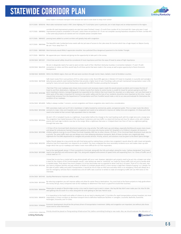

| 03/11/2020 58700140 Most state maintained roads in NKY, Dixie Highway, KY 17 and Kyles Lane in particular, are in bad shape and an embarrassment to the region.<br>03/11/2020 58698902 improvement projects completed in the past 2 years there are portions of I-75 are not complete causing hazardous situations fix them. corridor #15<br>is the same way projects are started and not complete please complete them<br>03/11/2020 58692672 passing lanes added to current corridors will greatly help with congestion<br>03/11/2020 58691848<br>We are 1 hour away from I 75.<br>03/11/2020 58691600 West Kentucky would REALLY appreciate smoother. less potholed (thus dangerous) pavement to the Golden Triangle.<br>03/11/2020 58691524 We appreciate your interest and giving me the opportunity to take part in the survey.<br>03/09/2020 58513331 I think that overall safety should be considered of most importance and then the ease of travel to areas of high importance.<br>We are in desperate need of an east to west corridor south of the 3 Northern Kentucky Counties. A connection between I 71 and I 75 with<br>03/09/2020 58423129 connection to Indian and Ohio would help fix all three points that were made in the survey as well as give opportunity to future Economic<br>Develpoment.<br>03/08/2020 58396183 Within the NKADD region, there are NO east west cooridors through Carroll, Owen, Gallatin, Grant & Pendleton counties.<br>03/05/2020 58219228 daily because patients need medical facilities that provide a higher level of care. Providing a safe and well-maintained transportation route is life-<br>saving for many sick and injured Kentuckians, along with the EMS Providers providing the transports<br>03/04/2020 58161288<br>condition of our roadways.<br>03/04/2020 58143659 Safety is always number 1 concern, current congestion and future congestion also need to be a consideration.<br>03/04/2020 58123306 connects to major cities and hospitals and is congested and needs to be widened to improve all. Safety time and congestion. It's these parts that<br>need to be looked at that connect high populated cities to interstate<br>03/04/2020 58123044<br>through that area now.<br>03/04/2020 58121986 children patients must go to one of these Cincinnati hospitals, EMS has no other choices. 275 from I-75 to Cincinnati (both directions) must also be<br>a priority. The same traffic back-ups and delays occur here delaying ambulance transports. Both of these corridors are a logistically daily<br>03/04/2020 58122195<br>longer which ties up our roadways and makes it even more difficult for our first responders.<br>03/04/2020 58121889<br>critical need on I-71.<br>03/04/2020 58121346<br>interstate.<br>03/04/2020 58121493 Quality/Maintenance improves safety as well. | these roads it increases transport time because we have to slow down to keep from further                                                                                                                                                                                                                                                                                                                                                                                                                                                                                                                                                                                                                                                                                                                                                                                                                                           |
|-------------------------------------------------------------------------------------------------------------------------------------------------------------------------------------------------------------------------------------------------------------------------------------------------------------------------------------------------------------------------------------------------------------------------------------------------------------------------------------------------------------------------------------------------------------------------------------------------------------------------------------------------------------------------------------------------------------------------------------------------------------------------------------------------------------------------------------------------------------------------------------------------------------------------------------------------------------------------------------------------------------------------------------------------------------------------------------------------------------------------------------------------------------------------------------------------------------------------------------------------------------------------------------------------------------------------------------------------------------------------------------------------------------------------------------------------------------------------------------------------------------------------------------------------------------------------------------------------------------------------------------------------------------------------------------------------------------------------------------------------------------------------------------------------------------------------------------------------------------------------------------------------------------------------------------------------------------------------------------------------------------------------------------------------------------------------------------------------------------------------------------------------------------------------------------------------------------------------------------------------------------------------------------------------------------------------------------------------------------------------------------------------------------------------------------------------------------------------------------------------------------------------------------------------------------------------------------------------------------------------------------------------------------------------------------------------------------------------------------------------------------------------------------------------------------------------------------------------------------------|-------------------------------------------------------------------------------------------------------------------------------------------------------------------------------------------------------------------------------------------------------------------------------------------------------------------------------------------------------------------------------------------------------------------------------------------------------------------------------------------------------------------------------------------------------------------------------------------------------------------------------------------------------------------------------------------------------------------------------------------------------------------------------------------------------------------------------------------------------------------------------------------------------------------------------------|
|                                                                                                                                                                                                                                                                                                                                                                                                                                                                                                                                                                                                                                                                                                                                                                                                                                                                                                                                                                                                                                                                                                                                                                                                                                                                                                                                                                                                                                                                                                                                                                                                                                                                                                                                                                                                                                                                                                                                                                                                                                                                                                                                                                                                                                                                                                                                                                                                                                                                                                                                                                                                                                                                                                                                                                                                                                                                   |                                                                                                                                                                                                                                                                                                                                                                                                                                                                                                                                                                                                                                                                                                                                                                                                                                                                                                                                     |
|                                                                                                                                                                                                                                                                                                                                                                                                                                                                                                                                                                                                                                                                                                                                                                                                                                                                                                                                                                                                                                                                                                                                                                                                                                                                                                                                                                                                                                                                                                                                                                                                                                                                                                                                                                                                                                                                                                                                                                                                                                                                                                                                                                                                                                                                                                                                                                                                                                                                                                                                                                                                                                                                                                                                                                                                                                                                   | corridor #3 road improvement projects are start but never finished I travel I-75 north from London KY to Cincinnati OH I have only seen 3 road                                                                                                                                                                                                                                                                                                                                                                                                                                                                                                                                                                                                                                                                                                                                                                                      |
|                                                                                                                                                                                                                                                                                                                                                                                                                                                                                                                                                                                                                                                                                                                                                                                                                                                                                                                                                                                                                                                                                                                                                                                                                                                                                                                                                                                                                                                                                                                                                                                                                                                                                                                                                                                                                                                                                                                                                                                                                                                                                                                                                                                                                                                                                                                                                                                                                                                                                                                                                                                                                                                                                                                                                                                                                                                                   |                                                                                                                                                                                                                                                                                                                                                                                                                                                                                                                                                                                                                                                                                                                                                                                                                                                                                                                                     |
|                                                                                                                                                                                                                                                                                                                                                                                                                                                                                                                                                                                                                                                                                                                                                                                                                                                                                                                                                                                                                                                                                                                                                                                                                                                                                                                                                                                                                                                                                                                                                                                                                                                                                                                                                                                                                                                                                                                                                                                                                                                                                                                                                                                                                                                                                                                                                                                                                                                                                                                                                                                                                                                                                                                                                                                                                                                                   | The beautiful Lake Cumberland area needs safe but yet ease of access to the Lake areas for tourism which has a huge impact on Wayne County.                                                                                                                                                                                                                                                                                                                                                                                                                                                                                                                                                                                                                                                                                                                                                                                         |
|                                                                                                                                                                                                                                                                                                                                                                                                                                                                                                                                                                                                                                                                                                                                                                                                                                                                                                                                                                                                                                                                                                                                                                                                                                                                                                                                                                                                                                                                                                                                                                                                                                                                                                                                                                                                                                                                                                                                                                                                                                                                                                                                                                                                                                                                                                                                                                                                                                                                                                                                                                                                                                                                                                                                                                                                                                                                   |                                                                                                                                                                                                                                                                                                                                                                                                                                                                                                                                                                                                                                                                                                                                                                                                                                                                                                                                     |
|                                                                                                                                                                                                                                                                                                                                                                                                                                                                                                                                                                                                                                                                                                                                                                                                                                                                                                                                                                                                                                                                                                                                                                                                                                                                                                                                                                                                                                                                                                                                                                                                                                                                                                                                                                                                                                                                                                                                                                                                                                                                                                                                                                                                                                                                                                                                                                                                                                                                                                                                                                                                                                                                                                                                                                                                                                                                   |                                                                                                                                                                                                                                                                                                                                                                                                                                                                                                                                                                                                                                                                                                                                                                                                                                                                                                                                     |
|                                                                                                                                                                                                                                                                                                                                                                                                                                                                                                                                                                                                                                                                                                                                                                                                                                                                                                                                                                                                                                                                                                                                                                                                                                                                                                                                                                                                                                                                                                                                                                                                                                                                                                                                                                                                                                                                                                                                                                                                                                                                                                                                                                                                                                                                                                                                                                                                                                                                                                                                                                                                                                                                                                                                                                                                                                                                   |                                                                                                                                                                                                                                                                                                                                                                                                                                                                                                                                                                                                                                                                                                                                                                                                                                                                                                                                     |
|                                                                                                                                                                                                                                                                                                                                                                                                                                                                                                                                                                                                                                                                                                                                                                                                                                                                                                                                                                                                                                                                                                                                                                                                                                                                                                                                                                                                                                                                                                                                                                                                                                                                                                                                                                                                                                                                                                                                                                                                                                                                                                                                                                                                                                                                                                                                                                                                                                                                                                                                                                                                                                                                                                                                                                                                                                                                   |                                                                                                                                                                                                                                                                                                                                                                                                                                                                                                                                                                                                                                                                                                                                                                                                                                                                                                                                     |
|                                                                                                                                                                                                                                                                                                                                                                                                                                                                                                                                                                                                                                                                                                                                                                                                                                                                                                                                                                                                                                                                                                                                                                                                                                                                                                                                                                                                                                                                                                                                                                                                                                                                                                                                                                                                                                                                                                                                                                                                                                                                                                                                                                                                                                                                                                                                                                                                                                                                                                                                                                                                                                                                                                                                                                                                                                                                   |                                                                                                                                                                                                                                                                                                                                                                                                                                                                                                                                                                                                                                                                                                                                                                                                                                                                                                                                     |
|                                                                                                                                                                                                                                                                                                                                                                                                                                                                                                                                                                                                                                                                                                                                                                                                                                                                                                                                                                                                                                                                                                                                                                                                                                                                                                                                                                                                                                                                                                                                                                                                                                                                                                                                                                                                                                                                                                                                                                                                                                                                                                                                                                                                                                                                                                                                                                                                                                                                                                                                                                                                                                                                                                                                                                                                                                                                   | Safe travel routes from rural portions of KY to urban areas is vital. Rural EMS agencies in Western KY travel to hospitals in Louisville and Lexington                                                                                                                                                                                                                                                                                                                                                                                                                                                                                                                                                                                                                                                                                                                                                                              |
|                                                                                                                                                                                                                                                                                                                                                                                                                                                                                                                                                                                                                                                                                                                                                                                                                                                                                                                                                                                                                                                                                                                                                                                                                                                                                                                                                                                                                                                                                                                                                                                                                                                                                                                                                                                                                                                                                                                                                                                                                                                                                                                                                                                                                                                                                                                                                                                                                                                                                                                                                                                                                                                                                                                                                                                                                                                                   | I feel that if the rural roadways were shown more concern and necessary repairs made this would prevent accidents and increase the time of<br>travel to and from destinations. Highway 421 in Harlan County from Harlan to Leslie County is unsafe for travel for persons going to and from<br>work, traveling to doctors, transporting goods but especially to the children that must travel this mountain on a daily basis. I am sure that travel in<br>other parts of the state is important for commerce but public safety and the lives of our residents should be more important at this time. I would<br>request that someone from the Department of Transportation and from Frankfort would make a visit to our area and evaluate for themselves the                                                                                                                                                                        |
|                                                                                                                                                                                                                                                                                                                                                                                                                                                                                                                                                                                                                                                                                                                                                                                                                                                                                                                                                                                                                                                                                                                                                                                                                                                                                                                                                                                                                                                                                                                                                                                                                                                                                                                                                                                                                                                                                                                                                                                                                                                                                                                                                                                                                                                                                                                                                                                                                                                                                                                                                                                                                                                                                                                                                                                                                                                                   |                                                                                                                                                                                                                                                                                                                                                                                                                                                                                                                                                                                                                                                                                                                                                                                                                                                                                                                                     |
|                                                                                                                                                                                                                                                                                                                                                                                                                                                                                                                                                                                                                                                                                                                                                                                                                                                                                                                                                                                                                                                                                                                                                                                                                                                                                                                                                                                                                                                                                                                                                                                                                                                                                                                                                                                                                                                                                                                                                                                                                                                                                                                                                                                                                                                                                                                                                                                                                                                                                                                                                                                                                                                                                                                                                                                                                                                                   | With secondary roads such as KY 245 in bardstown is highly traveled by commercial, public, and general public. This is a major route like others                                                                                                                                                                                                                                                                                                                                                                                                                                                                                                                                                                                                                                                                                                                                                                                    |
|                                                                                                                                                                                                                                                                                                                                                                                                                                                                                                                                                                                                                                                                                                                                                                                                                                                                                                                                                                                                                                                                                                                                                                                                                                                                                                                                                                                                                                                                                                                                                                                                                                                                                                                                                                                                                                                                                                                                                                                                                                                                                                                                                                                                                                                                                                                                                                                                                                                                                                                                                                                                                                                                                                                                                                                                                                                                   | AA and I-275 in Campbell County is a nightmare. It was better before the change to the road heading south with the single lane and a merge lane.<br>The congestion has tripled because of the new Route 9 extension and now traffic is a stand still during rush hour for about a mile, with multiple<br>wrecks and road rage incidents now due to the merge. What a nightmare that area is. It helped divert cars from 471 but is a nightmare getting                                                                                                                                                                                                                                                                                                                                                                                                                                                                              |
|                                                                                                                                                                                                                                                                                                                                                                                                                                                                                                                                                                                                                                                                                                                                                                                                                                                                                                                                                                                                                                                                                                                                                                                                                                                                                                                                                                                                                                                                                                                                                                                                                                                                                                                                                                                                                                                                                                                                                                                                                                                                                                                                                                                                                                                                                                                                                                                                                                                                                                                                                                                                                                                                                                                                                                                                                                                                   | I-75 from 275 to Cincinnati (both directions) needs to be a top priority. The traffic back ups and delays, especially Northbound causes many issues<br>and delays for ambulances having to transport patients to the areas only trauma center (UC Hospital) or to Children's Hospital. All trauma or<br>nightmare for Fire/EMS departments to navigate and provide services. Priority, actions, and solutions must be given to the Brent Spence Bridge!                                                                                                                                                                                                                                                                                                                                                                                                                                                                             |
|                                                                                                                                                                                                                                                                                                                                                                                                                                                                                                                                                                                                                                                                                                                                                                                                                                                                                                                                                                                                                                                                                                                                                                                                                                                                                                                                                                                                                                                                                                                                                                                                                                                                                                                                                                                                                                                                                                                                                                                                                                                                                                                                                                                                                                                                                                                                                                                                                                                                                                                                                                                                                                                                                                                                                                                                                                                                   | Safety Should always be a top priority but with that being said by making these corridors less congested it would allow for safer travel and greatly<br>influence how first responders can respond to an incident. The more congested the more secondary incidents occur and makes clean up even                                                                                                                                                                                                                                                                                                                                                                                                                                                                                                                                                                                                                                    |
|                                                                                                                                                                                                                                                                                                                                                                                                                                                                                                                                                                                                                                                                                                                                                                                                                                                                                                                                                                                                                                                                                                                                                                                                                                                                                                                                                                                                                                                                                                                                                                                                                                                                                                                                                                                                                                                                                                                                                                                                                                                                                                                                                                                                                                                                                                                                                                                                                                                                                                                                                                                                                                                                                                                                                                                                                                                                   | Due to the rapid growth along I-71 from Louisville to Cincinnati, along with the hills and valley's along the route, I believe designated "truck lanes"<br>need to be specified and enforcement rigid. This, along with targeted enforcement of speed limits and expanding from 2 to 3 lanes of traffic are of                                                                                                                                                                                                                                                                                                                                                                                                                                                                                                                                                                                                                      |
|                                                                                                                                                                                                                                                                                                                                                                                                                                                                                                                                                                                                                                                                                                                                                                                                                                                                                                                                                                                                                                                                                                                                                                                                                                                                                                                                                                                                                                                                                                                                                                                                                                                                                                                                                                                                                                                                                                                                                                                                                                                                                                                                                                                                                                                                                                                                                                                                                                                                                                                                                                                                                                                                                                                                                                                                                                                                   | I know that no one has a crystal ball to see where growth will occur next. However, legislators pet projects need to be put into a drawer over what<br>is best for the citizens of the Commonwealth overall. I also believe we need to "overbuild" our roads for future traffic and not just to handle what<br>is needed today. Think about how much cheaper it is to buy land today over as opposed to what it will be in 20 years. Think of it in the past, now<br>you have to displace families and pay millions of dollars to multiple people which is more money in legal fees instead of paying 1 or 2 people. For<br>the sake of public safety and public transportation, it would be nice to have an HOV lane and when there is an emergency, there will always be a<br>lane for emergency vehicles that is traveled less and all traffic laws could be re-written to state all emergency traffic will use HOV lanes on the |
|                                                                                                                                                                                                                                                                                                                                                                                                                                                                                                                                                                                                                                                                                                                                                                                                                                                                                                                                                                                                                                                                                                                                                                                                                                                                                                                                                                                                                                                                                                                                                                                                                                                                                                                                                                                                                                                                                                                                                                                                                                                                                                                                                                                                                                                                                                                                                                                                                                                                                                                                                                                                                                                                                                                                                                                                                                                                   |                                                                                                                                                                                                                                                                                                                                                                                                                                                                                                                                                                                                                                                                                                                                                                                                                                                                                                                                     |
| 03/04/2020 58121003<br>the money will go, many companies look at the roadways to determine if the local is a good fit to build their business.                                                                                                                                                                                                                                                                                                                                                                                                                                                                                                                                                                                                                                                                                                                                                                                                                                                                                                                                                                                                                                                                                                                                                                                                                                                                                                                                                                                                                                                                                                                                                                                                                                                                                                                                                                                                                                                                                                                                                                                                                                                                                                                                                                                                                                                                                                                                                                                                                                                                                                                                                                                                                                                                                                                    | By reducing congestion you will improve safety and allow for easier flow to destinations. You must look to the future projects to help guide where                                                                                                                                                                                                                                                                                                                                                                                                                                                                                                                                                                                                                                                                                                                                                                                  |
| 03/03/2020 58060584<br>west getting onto 65 south it's a mess along with 65 north getting on 264 East. Patrick lucas                                                                                                                                                                                                                                                                                                                                                                                                                                                                                                                                                                                                                                                                                                                                                                                                                                                                                                                                                                                                                                                                                                                                                                                                                                                                                                                                                                                                                                                                                                                                                                                                                                                                                                                                                                                                                                                                                                                                                                                                                                                                                                                                                                                                                                                                                                                                                                                                                                                                                                                                                                                                                                                                                                                                              | Please give to people of Breckinridge county a nice road to travel to go to work in etown. Like hey 86 that didn't even make your list. Also fix I264                                                                                                                                                                                                                                                                                                                                                                                                                                                                                                                                                                                                                                                                                                                                                                               |
| 03/02/2020 58008125 importantly 2.) Direct corridors to decrease transport time to definitive healthcare facilities in Lexington, Louisville, Nashville, Evansville,<br>Huntington, Knoxville, and Tri-Cities.                                                                                                                                                                                                                                                                                                                                                                                                                                                                                                                                                                                                                                                                                                                                                                                                                                                                                                                                                                                                                                                                                                                                                                                                                                                                                                                                                                                                                                                                                                                                                                                                                                                                                                                                                                                                                                                                                                                                                                                                                                                                                                                                                                                                                                                                                                                                                                                                                                                                                                                                                                                                                                                    | It is imperative to the health and safety of citizens to do our best to develop both 1.) Corridors for rapid transportation primary hospitals, but most                                                                                                                                                                                                                                                                                                                                                                                                                                                                                                                                                                                                                                                                                                                                                                             |
| 03/02/2020 57996565<br>issues tend to solve themselves.                                                                                                                                                                                                                                                                                                                                                                                                                                                                                                                                                                                                                                                                                                                                                                                                                                                                                                                                                                                                                                                                                                                                                                                                                                                                                                                                                                                                                                                                                                                                                                                                                                                                                                                                                                                                                                                                                                                                                                                                                                                                                                                                                                                                                                                                                                                                                                                                                                                                                                                                                                                                                                                                                                                                                                                                           | Economic Development should be the primary driver of transportation investment. Safety and congestion are important, but without jobs those                                                                                                                                                                                                                                                                                                                                                                                                                                                                                                                                                                                                                                                                                                                                                                                         |
| 02/02/2020 57002218                                                                                                                                                                                                                                                                                                                                                                                                                                                                                                                                                                                                                                                                                                                                                                                                                                                                                                                                                                                                                                                                                                                                                                                                                                                                                                                                                                                                                                                                                                                                                                                                                                                                                                                                                                                                                                                                                                                                                                                                                                                                                                                                                                                                                                                                                                                                                                                                                                                                                                                                                                                                                                                                                                                                                                                                                                               | Priority should be placed on fixing existing infrastructure first, before committing funding to new roads. Also, we should evaluate the allocation of                                                                                                                                                                                                                                                                                                                                                                                                                                                                                                                                                                                                                                                                                                                                                                               |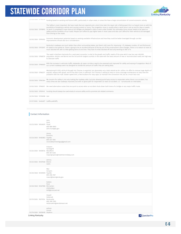

| UJ/UZ/ZUZU J/77ZJIO                  | funding based on existing and future traffic, particularly in urban areas, or areas the have a large concentration of current economic activity.                                                                                                                                                                                                                                                                                                                                                                                                                                                                                               |
|--------------------------------------|------------------------------------------------------------------------------------------------------------------------------------------------------------------------------------------------------------------------------------------------------------------------------------------------------------------------------------------------------------------------------------------------------------------------------------------------------------------------------------------------------------------------------------------------------------------------------------------------------------------------------------------------|
| 03/02/2020 57978993                  | The Safety is most important. We have roads that are repaired and a short time later the repair job is falling apart this is a hazard more so with the<br>possibility of disabling a vehicle and causing a wreck or injury. The congestion issue is usually when a work zone is set up and for days or weeks<br>no work is completed or even done at all. Bridges are delayed in bids or work under funded, but ultimately more money needs to be spent on<br>safety and the condition of our roads. People can't afford to pay higher taxes in most cases and also can't afford for their vehicle to be damaged<br>from driving on the roads. |
| 03/02/2020 57976702                  | Economic development potential based on existing available infrastructure and how they could be better leveraged through corridor<br>improvements should also be a consideration.                                                                                                                                                                                                                                                                                                                                                                                                                                                              |
| 03/02/2020 57972097                  | Kentucky's roadways are much better than other surrounding states, but there's still room for improving. I-75, between London, KY and Richmond,<br>KY needs to be looked at. There is going to be an accident because of the lay out of the construction's lane changes. There is no reason to have so<br>much blocked off, with so little getting done at one time. They have 10 miles blocked off and only working on 500' of it.                                                                                                                                                                                                            |
| 03/02/2020 57968729                  | The need in Northern Kentucky for a east west connector is vital to the growth and traffic needs of the area which now has over 400,000<br>population. Kenton and Bonne are the 3rd and 4th largest counties in the state with the least amount of new or reconstructed roads and high way<br>to alleviate traffic                                                                                                                                                                                                                                                                                                                             |
| 03/02/2020 57966925                  | With the increase in vehicular traffic statewide, all major corridors need to be assessed and improved for safety and easing of congestion. Most of<br>our current roadways were not designed to handle the amount of traffic they are seeing daily.                                                                                                                                                                                                                                                                                                                                                                                           |
| 03/02/2020 57960271                  | Maintaining KY 6335, old Ky 8 through Fort Thomas is essential, but absolutely not a total rebuild at 65+ million. An effort to remove huge depths of<br>asphalt, replace with gravel, and fix the ditch lines is sufficient. Fort Thomas is willing to help on minor drainage maintenance to help slow the<br>problems with the road. Slower speed limit, a few locations for stop signs, to maintain the connection link, but at a much less cost.                                                                                                                                                                                           |
| 03/02/2020 57961204                  | My concern for safety is not only making the roadway safer, but also allowing quick/easy access to responders when there is an accident. Too<br>many times we see roadways improved, but with no good path for responders to reach an accident, i.e. - turnarounds on interstates                                                                                                                                                                                                                                                                                                                                                              |
|                                      | 03/02/2020 57960611 We need alternative routes that are quick to access when an accident shuts down both lanes of a bridge on any major traffic route.                                                                                                                                                                                                                                                                                                                                                                                                                                                                                         |
|                                      | 03/02/2020 57959147 Funding should always be used wisely to ensure safety and to promote job related commerce.                                                                                                                                                                                                                                                                                                                                                                                                                                                                                                                                 |
| 02/20/2020 57230698 test             |                                                                                                                                                                                                                                                                                                                                                                                                                                                                                                                                                                                                                                                |
| 01/27/2020 54404677 l;sdfkn;asdhdfh; |                                                                                                                                                                                                                                                                                                                                                                                                                                                                                                                                                                                                                                                |

#### Contact Information

| John<br>Hunt<br>03/23/2020 59526679 Floyd<br>606-886-8965<br>John.hunt@ky.gov                            |
|----------------------------------------------------------------------------------------------------------|
| Jimmy<br>Emmons<br>03/23/2020 59483863 Fayette<br>859-457-1594<br>ironicdetachmentguy@gmail.com          |
| Grayson<br>Vandegrift<br>03/22/2020 59458134 Woodford<br>859-361-6320<br>mayorgrayson@meetmeinmidway.com |
| Johnny<br>03/22/2020 59457048 Bivens<br>Lewis                                                            |
| Max<br>Conyers<br>03/20/2020 59339005 Fayette<br>859-258-3167<br>maxc2@lexingtonky.gov                   |
| Debbie<br>Peck<br>03/20/2020 59307980 McCracken<br>2705545843<br>lofd@comcast.net                        |
| Howell<br>Holbrook<br>03/19/2020 59273124 Rockcastle<br>606-308-1909<br>Holbrookhh@windstream.net        |
| william<br>Corum<br>03/19/2020 59259018 Hopkins                                                          |
|                                                                                                          |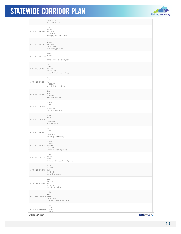

|                               | 270-821-2457<br>wcorum@twc.com                                            |
|-------------------------------|---------------------------------------------------------------------------|
| 03/19/2020 59255708 Henderson | Tara<br>Barney<br>5633708078<br>tbarney@SWINChamber.com                   |
| 03/19/2020 59253192           | Joel<br>Hopper<br>Henderson<br>270-831-0141<br>jrayhopper@gmail.com       |
| 03/19/2020 59252849           | Jerrett<br>Barnes<br>KY<br>jerrett.barnes@shelbycoky.com                  |
| 03/19/2020 59250654 Henderson | Steve<br>Austin<br>270-831-4905<br>saustin@cityofhendersonky.org          |
| 03/19/2020 59242156 Floyd     | Barry<br>Davis<br>6068862374<br>barry.davis@bigsandy.org                  |
| 03/19/2020 59240774           | Ralph<br>johanson<br>0112251034<br>ralphjohanson@att.net                  |
| 03/19/2020 59240021 KY        | charles<br>carson<br>8592344264<br>cacfd1962@yahoo.com                    |
| 03/19/2020 59237860 KY        | William<br>Birkle<br>8597430592<br>b2400@aol.com                          |
| 03/19/2020 59238777           | John<br>Thomas<br>KY<br>2706924018<br>jthomas@lebanonky.org               |
| 03/19/2020 59238235           | Amanda<br>Spencere<br>Jefferson<br>5022666144<br>amanda.spencer@kipda.org |
| 03/19/2020 59222996           | Calvin<br>Daniels<br>Johnson<br>Williamsoortfiredepartment@yoho.com       |
| 03/19/2020 59212925 BATH      | JESSIE<br>STEWART<br>606-674-2931<br>bathso@yahoo.com                     |
| 03/18/2020 59181418           | Jody<br>Dunhoft<br>Boone<br>858-394-2096<br>Jdunhift1@gmail.com           |
| 03/17/2020 59086873 Hickman   | Paula<br>Boaz<br>270-653-4620<br>clintonhickmanems@yahoo.com              |
| 03/17/2020 59079869 Campbell  | Yhomas<br>Fromme<br>8599122501                                            |
| Linking Kentucky              | P QuestionPro                                                             |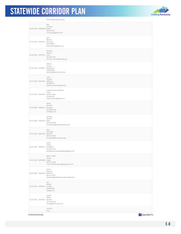

Tfromme@newportky.gov R a y Chesney 03/16/2020 58984086 Rowan 6 0 6 5 2 4 2 4 3 9 rchesneyjr@gmail.com J o h n B o u d r o 03/16/2020 58975523 Kentucky 8127468653 boudrojohn@gmail.com Brandon Remley 03/16/2020 58972732 Scott 5 0 2 - 8 6 3 - 7 8 4 1 brandon.remley@scottky.gov William H u b i a k 03/16/2020 58968921 Henderson 2 7 0 8 2 7 6 0 2 6 whubiak@hendersonky.us L i n d a Chesser 03/14/2020 58914794 Jefferson 5 0 2 4 5 8 7 6 1 3 WattersonParkInfo@att.net Judge-Executive Maurice Lucas 03/14/2020 58904812 Breckinridge 2 7 0 7 5 6 2 2 6 9 mauricelucas@bbtel.com R i c k i e Bearden 03/13/2020 58862631 Marshall 270-898-6230 ptsfd@vci.net T i m o t h y Stewart 03/13/2020 58840774 Boyd 6 0 6 - 3 3 1 - 0 0 2 5 tim.stewart@bigsandyfire93.com Marc **Bramlage** 03/13/2020 58824959 Madison 859-231-5600 bramlagm@lexingtonky.gov D a v i d F i e l d s 03/12/2020 58803331 Pendleton 859-654-4321 pendletoncountyjudgeexec@gmail.com Mayor Teddy Harper 03/12/2020 58785856 Logan 2 7 0 - 7 5 5 - 2 3 8 8 mayorcityoflewisburg@logantele.com David **Bizianes** 03/12/2020 58769482 Jefferson 502-472-3677 dbizianes@oldhamcountychamber.com Dan **Bowles** 03/12/2020 58769362 Carlisle 2 7 0 5 6 2 0 3 6 9 cfd@wk.net Scottie W A R D 03/12/2020 58757792 BUTLER 2 7 0 - 5 2 6 - 3 6 7 6 sward@butlercoky.com Caroline Cline Linking Kentucky P QuestionPro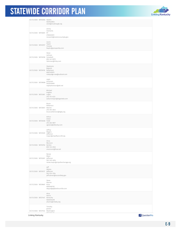

| Jimmy<br>Clements<br>03/12/2020 58746661 KY<br>2706923051<br>mcso223@marioncountyky.gov<br>Laura<br>Taylor<br>03/12/2020 58746107<br>Trimble<br>ltaylor@prospectky.com<br>Steve<br>Lehman<br>03/12/2020 58739258 Campbell |
|---------------------------------------------------------------------------------------------------------------------------------------------------------------------------------------------------------------------------|
|                                                                                                                                                                                                                           |
|                                                                                                                                                                                                                           |
| 859-441-8575<br>Slehman@hhky.com                                                                                                                                                                                          |
| Stephanie<br>Bogucki<br>03/12/2020 58739316 Robertson<br>6067245615<br>robejudge-exe@outlook.com                                                                                                                          |
| ralph<br>johanson<br>03/12/2020 58738086<br>5025510060<br>ralphjohanson@att.net                                                                                                                                           |
| Michael<br>Hughes<br>03/12/2020 58733361 Logan<br>270-772-4212<br>auburnmayor@logantele.com                                                                                                                               |
| Bruce<br>Wilkerson<br>03/12/2020 58733847 Warren<br>270-393-3642<br>bruce.wilkerson@bgky.org                                                                                                                              |
| Arthur<br>Green<br>03/12/2020 58732648 Todd<br>270-265-9877<br>agreen@elktonky.com                                                                                                                                        |
| Jeffrey<br>Magers<br>03/12/2020 58732520<br>Jefferson<br>mayor@cityofbancroft.org                                                                                                                                         |
| Chris<br>Moriconi<br>03/12/2020 58730702 Kenton<br>859-743-2932<br>cmoriconi@fuse.net                                                                                                                                     |
| Renee<br>Major<br>03/12/2020 58730261<br>Jefferson<br>502-245-4654<br>renee.major@cityofanchorage.org                                                                                                                     |
| Jeff<br>OBrien<br>03/12/2020 58729217 Jefferson<br>502-574-1354<br>jeff.obrien@louisvilleky.gov                                                                                                                           |
| Steve<br>Warren<br>03/12/2020 58728667<br>Knox<br>6065466192<br>depjudge@barbourville.com                                                                                                                                 |
| Alice<br>Harris<br>03/12/2020 58727447<br>Kentucky<br>5026454248<br>aharris@mtwky.org                                                                                                                                     |
| Timothy<br>graves<br>03/12/2020 58727532<br>Washington<br>$\frac{1}{2}$<br>P QuestionPro<br>Linking Kentucky                                                                                                              |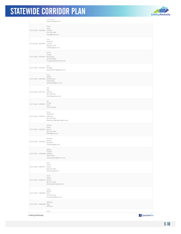

|                                | UI PC0CCYCO<br>washcofc@kyol.net                                 |
|--------------------------------|------------------------------------------------------------------|
| 03/12/2020 58726861 Franklin   | Vince<br>Lang<br>502-330-4828<br>Vlang@kcjea.org                 |
| 03/12/2020 58722922 Lincoln    | Troy<br>Gingrass<br>606-879-1394<br>Lcfd904@live.com             |
| 03/11/2020 58716209 McCracken  | Doug<br>Cooper<br>270-559-8887<br>Dougcooper@comcast.net         |
| 03/11/2020 58714362 Pendley    | John<br>Jpendleyymca@gmail.com                                   |
| 03/11/2020 58712996 Muhlenberg | Troy<br>Walker<br>2705432902<br>twalker902@msn.com               |
| 03/11/2020 58711795 Garrard    | Tim<br>May<br>859 339 0145<br>firef612@yahoo.com                 |
| 03/11/2020 58708712            | Joe<br>Young<br>Allen<br>270-622-8640                            |
| 03/11/2020 58706119 Jefferson  | Dave<br>Goldsmith<br>502-239-3561<br>Dgoldsmith@highviewfire.com |
| 03/11/2020 58705612 Boone      | William<br>Birkle<br>859-743-0592<br>b2400@aol.com               |
| 03/11/2020 58705664            | Rachael<br>Heater<br>Breathitt<br>rheater@tgtel.com              |
| 03/11/2020 58704688 Oldham     | Bobby<br>Thacker<br>5026412750<br>mayor@cityofgoshen.com         |
| 03/11/2020 58701734 knottt     | earl<br>smith<br>606-463-3001<br>esmith22@TGTEL                  |
| 03/11/2020 58700140 Kenton     | Dave<br>Hatter<br>859-414-4610<br>dhatter@fortwright.com         |
| 03/11/2020 58699810 Ohio       | Tracy<br>Beatty<br>270-298-4444<br>Ocsdunit82@aol.com            |
| 03/11/2020 58699689 Beld       | Rebecca<br>Jefferson                                             |
|                                | viola                                                            |

Linking Kentucky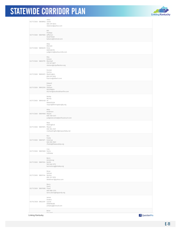

|                              |                  | 6065466192<br>judgemm@barbourville.com                                            |
|------------------------------|------------------|-----------------------------------------------------------------------------------|
| 03/11/2020 58693770 Marshall |                  | Rita<br>Dotson<br>270-527-8677                                                    |
|                              |                  | rdotson@cityofbenton.org<br>Forrest                                               |
|                              |                  | Carrico<br>03/11/2020 58692672 Washington<br>859-619-6552<br>fcarrico@alltech.com |
| 03/11/2020 58692304 Oldham   |                  | Edward<br>Turner<br>5023766814<br>eturner@southoldhamfire.com                     |
| 03/11/2020 58692428 KY       |                  | Bobby<br>Money<br>6064070330<br>mayor@flemingsburgky.org                          |
| 03/11/2020 58691848 Wayne    |                  | Mike<br>Anderson<br>606-348-4241<br>judgeexecutive@wcfiscalcourt.com              |
| 03/11/2020 58691874 Mason    |                  | Matt<br>Wallingford<br>606-564-2521<br>mattwallingford@maysvilleky.net            |
| 03/11/2020 58691671 Greenup  |                  | Ron<br>Fields<br>606-836-9661<br>rfields@flatwoodsky.org                          |
| 03/11/2020 58691600 Farris   |                  | Lisa<br>Calloway                                                                  |
| 03/11/2020 58691524 Bullitt  |                  | Barry<br>Armstrong<br>502-640-5772<br>barmstrong@mtwky.org                        |
| 03/11/2020 58691144 Kenton   |                  | Brian<br>Dehner<br>859-331-5910<br>bkdehner1@yahoo.com                            |
| 03/11/2020 58691086 Floyd    |                  | Barry<br>Davis<br>606-886-2374<br>barry.davis@bigsandy.org                        |
| 03/10/2020 58622397 Laurel   |                  | James<br>Anders<br>6068780285<br>joetybug@icloud.com                              |
|                              |                  | Brian<br>Traumett                                                                 |
|                              | Linking Kentucky | P QuestionPro                                                                     |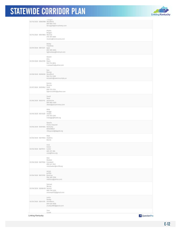

| Phyllis<br>Reagan<br>03/10/2020 58547800 Monroe<br>270-487-8083<br>mcems@mcmccares.com<br>Bobby<br>Treadway<br>03/09/2020 58513331<br>Bath<br>859-585-6004<br>bgtreadway@hotmail.com<br>Robert<br>Ellis<br>03/09/2020 58423129<br>Owen<br>502-514-8654<br>r.caseyellis@yahoo.com<br>Dan<br>Brenyo<br>03/08/2020 58396183 Woodford<br>502-514-5369<br>emsadm@owencountyky.us<br>Darren<br>Muncie<br>03/07/2020 58353842 Estill<br>606-723-2124<br>Dgmuncie402@yahoo.com<br>David<br>West<br>03/06/2020 58323112 Jessamine<br>859-885-4500<br>dwest@jessamineco.com<br>Mike<br>Skaggs<br>03/06/2020 58313429 Hardin<br>270-769-2393<br>mskaggs@ltadd.org<br>Natalie<br>Flores-Esquivel<br>03/06/2020 58301664 Kentucky<br>8592698021<br>nfesquivel@bgadd.org<br>Matt<br>03/06/2020 58279840 Hawkins<br>Boone<br>Vicki<br>Green<br>03/06/2020 58279141 Carter<br>669-291-366<br>vicki@fivco.org<br>Rob<br>Kloeker<br>03/06/2020 58277092 Campbell<br>859-441-7631<br>rob.kloeker@cccfd.org<br>james<br>griffith<br>03/06/2020 58273705 greenup<br>606-585-7656<br>oddisius@yahoo.com<br>Samuel<br>Money<br>03/06/2020 58268438 Kenton<br>606-748-2052<br>smoney0702@gmail.com<br>Justin<br>Nueby<br>03/05/2020 58241370 Pendleton<br>859-620-5836<br>jnueby2880@gmail.com<br>Tom<br>Lovett<br>P QuestionPro<br>Linking Kentucky | 03/10/2020 58583988 Woodford | naugutt<br>859-806-7743<br>btraugott@versaillesky.com |
|------------------------------------------------------------------------------------------------------------------------------------------------------------------------------------------------------------------------------------------------------------------------------------------------------------------------------------------------------------------------------------------------------------------------------------------------------------------------------------------------------------------------------------------------------------------------------------------------------------------------------------------------------------------------------------------------------------------------------------------------------------------------------------------------------------------------------------------------------------------------------------------------------------------------------------------------------------------------------------------------------------------------------------------------------------------------------------------------------------------------------------------------------------------------------------------------------------------------------------------------------------------------------------------------------------------------------|------------------------------|-------------------------------------------------------|
|                                                                                                                                                                                                                                                                                                                                                                                                                                                                                                                                                                                                                                                                                                                                                                                                                                                                                                                                                                                                                                                                                                                                                                                                                                                                                                                              |                              |                                                       |
|                                                                                                                                                                                                                                                                                                                                                                                                                                                                                                                                                                                                                                                                                                                                                                                                                                                                                                                                                                                                                                                                                                                                                                                                                                                                                                                              |                              |                                                       |
|                                                                                                                                                                                                                                                                                                                                                                                                                                                                                                                                                                                                                                                                                                                                                                                                                                                                                                                                                                                                                                                                                                                                                                                                                                                                                                                              |                              |                                                       |
|                                                                                                                                                                                                                                                                                                                                                                                                                                                                                                                                                                                                                                                                                                                                                                                                                                                                                                                                                                                                                                                                                                                                                                                                                                                                                                                              |                              |                                                       |
|                                                                                                                                                                                                                                                                                                                                                                                                                                                                                                                                                                                                                                                                                                                                                                                                                                                                                                                                                                                                                                                                                                                                                                                                                                                                                                                              |                              |                                                       |
|                                                                                                                                                                                                                                                                                                                                                                                                                                                                                                                                                                                                                                                                                                                                                                                                                                                                                                                                                                                                                                                                                                                                                                                                                                                                                                                              |                              |                                                       |
|                                                                                                                                                                                                                                                                                                                                                                                                                                                                                                                                                                                                                                                                                                                                                                                                                                                                                                                                                                                                                                                                                                                                                                                                                                                                                                                              |                              |                                                       |
|                                                                                                                                                                                                                                                                                                                                                                                                                                                                                                                                                                                                                                                                                                                                                                                                                                                                                                                                                                                                                                                                                                                                                                                                                                                                                                                              |                              |                                                       |
|                                                                                                                                                                                                                                                                                                                                                                                                                                                                                                                                                                                                                                                                                                                                                                                                                                                                                                                                                                                                                                                                                                                                                                                                                                                                                                                              |                              |                                                       |
|                                                                                                                                                                                                                                                                                                                                                                                                                                                                                                                                                                                                                                                                                                                                                                                                                                                                                                                                                                                                                                                                                                                                                                                                                                                                                                                              |                              |                                                       |
|                                                                                                                                                                                                                                                                                                                                                                                                                                                                                                                                                                                                                                                                                                                                                                                                                                                                                                                                                                                                                                                                                                                                                                                                                                                                                                                              |                              |                                                       |
|                                                                                                                                                                                                                                                                                                                                                                                                                                                                                                                                                                                                                                                                                                                                                                                                                                                                                                                                                                                                                                                                                                                                                                                                                                                                                                                              |                              |                                                       |
|                                                                                                                                                                                                                                                                                                                                                                                                                                                                                                                                                                                                                                                                                                                                                                                                                                                                                                                                                                                                                                                                                                                                                                                                                                                                                                                              |                              |                                                       |
|                                                                                                                                                                                                                                                                                                                                                                                                                                                                                                                                                                                                                                                                                                                                                                                                                                                                                                                                                                                                                                                                                                                                                                                                                                                                                                                              |                              |                                                       |
|                                                                                                                                                                                                                                                                                                                                                                                                                                                                                                                                                                                                                                                                                                                                                                                                                                                                                                                                                                                                                                                                                                                                                                                                                                                                                                                              |                              |                                                       |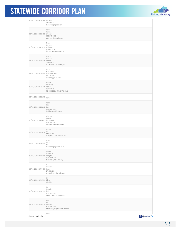

| 03/05/2020 58234204 Daviess    | $- - - - - -$<br>2709264433<br>tomlovett@gradd.com                                            |  |
|--------------------------------|-----------------------------------------------------------------------------------------------|--|
| 03/05/2020 58222450 Whitley    | Kelly<br>Harrison<br>606-549-6000<br>wcemsambs@yahoo.com                                      |  |
| 03/05/2020 58220076 Calloway   | Marty<br>Barnett<br>270-762-1750<br>barnett.marty@gmail.com                                   |  |
| 03/05/2020 58219228 Graves     | Jeremy<br>Creason<br>2707055372<br>Jcreason@mayfieldky.gov                                    |  |
|                                | Chris<br>Fuhrmann<br>03/05/2020 58210683 Clermont, Ohio<br>513-293-5334<br>cfurball@gmail.com |  |
| 03/05/2020 58205460 Kenton     | Randy<br>Childress<br>8598011769<br>RCHILDRESS2007@GMAIL.COM                                  |  |
| 03/05/2020 58202578            | Kenton                                                                                        |  |
| 03/05/2020 58200652 Bell       | Todd<br>Lee<br>606-302-1322<br>Todd042268@live.com                                            |  |
| 03/05/2020 58200501 Petersburg | Charles<br>Isaacs<br>859-743-7639<br>wisaacs@hebronfire.org                                   |  |
| 03/05/2020 58200157            | James<br>Ivy<br>Henderson<br>jivy@methodisthospital.net                                       |  |
| 03/05/2020 58199841            | Mark<br>Carter<br>Bell<br>macarter@cgtunnel.com                                               |  |
| 03/05/2020 58198906 Campbell   | Tammy<br>WEBSTER<br>859-441-8393<br>twebster@ftthomas.org                                     |  |
| 03/05/2020 58197475            | G<br>Whitlow<br>Green<br>270-932-7414<br>gregcwhitlow@gmail.com                               |  |
| 03/05/2020 58197741            | Phil<br>Dietz<br>KENTON                                                                       |  |
| 03/05/2020 58197179            | Ron<br>Temple<br>bell<br>606-248-0996<br>rmtemple@cgtunnel.com                                |  |
| 03/05/2020 58189029 Johnson    | Rick<br>Ratliff<br>606-793-3050<br>rick.ratliff@cityofpaintsville.net                         |  |
| Linking Kentucky               | <b>Inhn</b><br>P QuestionPro                                                                  |  |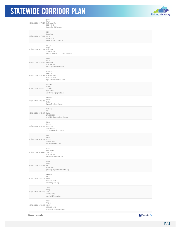

|                               | JUTITI<br>Luker<br>03/04/2020 58175329 Jeffersonville<br>5029311205<br>John.luker@bhsi.com         |
|-------------------------------|----------------------------------------------------------------------------------------------------|
| 03/04/2020 58173381 Carter    | Rick<br>Loperfido<br>6066944151<br>rloperfido@hotmail.com                                          |
| 03/04/2020 58171578 Jefferson | Pennie<br>Crady<br>502-629-7557<br>pennie.crady@nortonhealthcare.org                               |
| 03/04/2020 58170540 Jefferson | Roger<br>Cecil<br>502-239-3561<br>Rcecil@highviewfire.com                                          |
|                               | Barbara<br>Burkhart<br>03/04/2020 58161288 Harlan/Leslie<br>606-374-4403<br>bgburkhart@hotmail.com |
| 03/04/2020 58158519 TRIMBLE   | William<br>McCoy<br>5026631309<br>safetymccoy@gmail.com                                            |
| 03/04/2020 58155390           | Charles<br>Price<br>Butler<br>bprice@butlercoky.com                                                |
| 03/04/2020 58154921 Ballard   | Bethany<br>Cain<br>270-335-3557<br>wickliffe.city.clerk@gmail.com                                  |
| 03/04/2020 58152826 Lawrence  | Steve<br>Murray<br>304-526-8551<br>steve.murray@ccems.org                                          |
| 03/04/2020 58147621 Warren    | Jim<br>Berry<br>270-791-2854<br>berrja@mchealth.net                                                |
| 03/04/2020 58146740 Spencer   | Frank<br>Apanewicz<br>502-245-7555<br>fa2456p@bellsouth.net                                        |
| 03/04/2020 58145141 KY        | Jason<br>Nolan<br>6068131033<br>jnolan@cityofmanchesterky.org                                      |
| 03/04/2020 58144949 Grant     | Rodney<br>Smith<br>859-824-9158<br>rosmith@drfd.org                                                |
| 03/04/2020 58143659 Adair     | Tony<br><b>Bragg</b><br>270-634-0054<br>medic952@gmail.com                                         |
| 03/04/2020 58144233 Clark     | Cathy<br>Rigney<br>859-808-0496<br>crigney@roadrunner.com                                          |
| Linking Kentucky              | P QuestionPro                                                                                      |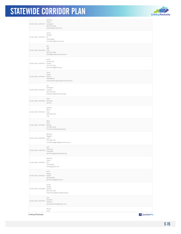

| David<br>Strader<br>03/04/2020 58137795 KY<br>2702306663<br>ems33044@hotmail.com<br>Bill<br>Ball<br>03/04/2020 58137369<br>Pike<br>960-635-3983<br>blball@suddenlinkmial.com<br>Jamie<br>Armstrong<br>03/04/2020 58135719<br>Hardin<br>270-734-5203<br>jarmstrong@hcky.org<br>Terry<br>Fraley<br>03/04/2020 58134397 Martin<br>6062985015<br>netcareadmin@suddenlinkmail.com<br>Joe<br>Sebastian<br>03/04/2020 58134141 Franklin<br>502-875-8511<br>jsebastian@frankfort.ky.gov<br>Dave<br>03/04/2020 58133943 Stoeckle<br>Kenton<br>Revelle<br>Berry<br>03/04/2020 58131272<br>Clay<br>606-598-8413<br>clay<br>Mike<br>Wise<br>03/04/2020 58130621 Meade<br>270-980-0218<br>Emsdirector@meadeky.gov<br>Michael<br>Wiggins<br>03/04/2020 58130401 Lyon<br>270-388-7167<br>michael.wiggins@lyoncoems.com<br>Jeff<br>Pohlman<br>03/04/2020 58129138<br>Campbell<br>jpohlman@alexandriaky.org<br>Rachael<br>Estep<br>03/04/2020 58128197 OH<br>7403571852<br>restep@peasi.net<br>Gary<br>Mayes<br>03/04/2020 58124257<br>Bullitt<br>5029040366<br>garymayes@gmail.com<br>David<br>Geiger<br>03/04/2020 58125895 Kenton<br>859-292-2345<br>fireemschief@covingtonky.gov<br>Dan<br>Sanders<br>03/04/2020 58124201<br>Hopkins<br>dansanders947@yahoo.com<br>Moses | 03/04/2020 58141317 Campbell | Patricia<br>Parker<br>859-635-9255<br>pparker@ccfd1ky.com |
|-------------------------------------------------------------------------------------------------------------------------------------------------------------------------------------------------------------------------------------------------------------------------------------------------------------------------------------------------------------------------------------------------------------------------------------------------------------------------------------------------------------------------------------------------------------------------------------------------------------------------------------------------------------------------------------------------------------------------------------------------------------------------------------------------------------------------------------------------------------------------------------------------------------------------------------------------------------------------------------------------------------------------------------------------------------------------------------------------------------------------------------------------------------------------------------------------------------------------------------------------------------|------------------------------|-----------------------------------------------------------|
|                                                                                                                                                                                                                                                                                                                                                                                                                                                                                                                                                                                                                                                                                                                                                                                                                                                                                                                                                                                                                                                                                                                                                                                                                                                             |                              |                                                           |
|                                                                                                                                                                                                                                                                                                                                                                                                                                                                                                                                                                                                                                                                                                                                                                                                                                                                                                                                                                                                                                                                                                                                                                                                                                                             |                              |                                                           |
|                                                                                                                                                                                                                                                                                                                                                                                                                                                                                                                                                                                                                                                                                                                                                                                                                                                                                                                                                                                                                                                                                                                                                                                                                                                             |                              |                                                           |
|                                                                                                                                                                                                                                                                                                                                                                                                                                                                                                                                                                                                                                                                                                                                                                                                                                                                                                                                                                                                                                                                                                                                                                                                                                                             |                              |                                                           |
|                                                                                                                                                                                                                                                                                                                                                                                                                                                                                                                                                                                                                                                                                                                                                                                                                                                                                                                                                                                                                                                                                                                                                                                                                                                             |                              |                                                           |
|                                                                                                                                                                                                                                                                                                                                                                                                                                                                                                                                                                                                                                                                                                                                                                                                                                                                                                                                                                                                                                                                                                                                                                                                                                                             |                              |                                                           |
|                                                                                                                                                                                                                                                                                                                                                                                                                                                                                                                                                                                                                                                                                                                                                                                                                                                                                                                                                                                                                                                                                                                                                                                                                                                             |                              |                                                           |
|                                                                                                                                                                                                                                                                                                                                                                                                                                                                                                                                                                                                                                                                                                                                                                                                                                                                                                                                                                                                                                                                                                                                                                                                                                                             |                              |                                                           |
|                                                                                                                                                                                                                                                                                                                                                                                                                                                                                                                                                                                                                                                                                                                                                                                                                                                                                                                                                                                                                                                                                                                                                                                                                                                             |                              |                                                           |
|                                                                                                                                                                                                                                                                                                                                                                                                                                                                                                                                                                                                                                                                                                                                                                                                                                                                                                                                                                                                                                                                                                                                                                                                                                                             |                              |                                                           |
|                                                                                                                                                                                                                                                                                                                                                                                                                                                                                                                                                                                                                                                                                                                                                                                                                                                                                                                                                                                                                                                                                                                                                                                                                                                             |                              |                                                           |
|                                                                                                                                                                                                                                                                                                                                                                                                                                                                                                                                                                                                                                                                                                                                                                                                                                                                                                                                                                                                                                                                                                                                                                                                                                                             |                              |                                                           |
|                                                                                                                                                                                                                                                                                                                                                                                                                                                                                                                                                                                                                                                                                                                                                                                                                                                                                                                                                                                                                                                                                                                                                                                                                                                             |                              |                                                           |
|                                                                                                                                                                                                                                                                                                                                                                                                                                                                                                                                                                                                                                                                                                                                                                                                                                                                                                                                                                                                                                                                                                                                                                                                                                                             |                              |                                                           |
| P QuestionPro                                                                                                                                                                                                                                                                                                                                                                                                                                                                                                                                                                                                                                                                                                                                                                                                                                                                                                                                                                                                                                                                                                                                                                                                                                               | Linking Kentucky             | Case                                                      |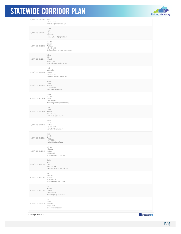

|                             | roy<br>vandiver<br>03/04/2020 58120586 Jefferson                   |
|-----------------------------|--------------------------------------------------------------------|
| 03/04/2020 58120646 estill  | wise<br>606-723-2124<br>ecemsswise@irvineonline.net                |
| 03/04/2020 58121003 Kenton  | Anthony<br>Scheben<br>8595869009<br>tscheben@hebronfire.org        |
| 03/04/2020 58120265 Morgan  | Greg<br>Gullett<br>6064775532<br>ggullett427@gmail.com             |
| 03/04/2020 58121567         | Lucas<br>Abner<br>Clinton<br>606-387-5917<br>ccems1631@gmail.com   |
| 03/04/2020 58121889 Oldham  | Keith<br>Smith<br>502-424-4333<br>keith.smith3@BHSI.com            |
| 03/04/2020 58121346 Boone   | Robert<br>Butcher<br>859-586-6161<br>rbutcher@burlingtonkyfire.org |
| 03/04/2020 58122195 Daviess | Jeremy<br>Smith<br>270-685-8440<br>jsmith@daviessky.org            |
| 03/04/2020 58121986 Kenton  | Paul<br>LaFontaine<br>859-342-7505<br>plafontaine@elsmerefd.com    |
| 03/04/2020 58123164 Ballard | TaLisa<br>Grief<br>12706655000<br>talisa.grief@ballardems.com      |
| 03/04/2020 58123528 Madison | Ronald<br>Jackson<br>859-582-4936<br>rjackson@madisoncountyems.com |
| 03/04/2020 58123306 Taylor  | Adam<br>England<br>2704695111<br>adamengland48@gmail.com           |
|                             | mitch.case@pikevilleky.gov                                         |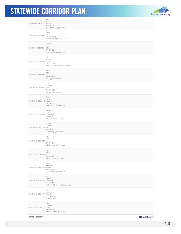

| Linking Kentucky                 | P QuestionPro                                                        |
|----------------------------------|----------------------------------------------------------------------|
| 03/03/2020 58038702 Perry        | Eunice<br>Holland<br>606-436-3158<br>eunice.holland@kradd.org        |
| 03/03/2020 58041449 Russell      | Kasey<br>Hoskins<br>270-866-4200<br>kasey@lcadd.org                  |
| 03/03/2020 58044292 Campbell     | Matt<br>Elberfeld<br>859-547-1805<br>melberfeld@campbellcountyky.gov |
| 03/03/2020 58047076 Mason        | VIcki<br>Steigleder<br>606-564-5534<br>chamber@maysvilleky.net       |
| 03/03/2020 58047428 KY           | rick<br>stiltner<br>8592273270<br>stiltner_r@bellsouth.net           |
| 03/03/2020 58047899 Mercer       | Jill<br>Cutler<br>859-734-2365<br>info@mercerchamber.com             |
| 03/03/2020 58054372 WV           | saleem<br>salameh<br>304-523-7434<br>ssalameh@kyovaipc.org           |
| 03/03/2020 58060584 Breckenridge | Patrick<br>Lucas<br>270-668-3673<br>Custer1600@yahoo.com             |
| 03/03/2020 58066840 Kenton       | Paul<br>Meier<br>859-341-7373<br>mayor@crestviewhills.com            |
| 03/03/2020 58067608 Boone        | Tom<br>Scheben<br>859-393-3513<br>tscheben@gmail.com                 |
| 03/03/2020 58074486 Waren        | Kevin<br>Bailey<br>270-925-8606<br>kbailey@planovfd.com              |
| 03/03/2020 58075073 Hardin       | Mark<br>Malone<br>270-765-2121<br>mark.malone@elizabethtownky.gov    |
| 03/03/2020 58077315 Jefferson    | Bonnie<br>Jung<br>502-245-3600<br>douglasshillsmayor@gmail.com       |
| 03/03/2020 58091466              | Carlus<br>Sallee<br>Hardin county<br>csalleeunit129@hotmail.com      |
| 03/04/2020 58119079 Madison      | Will<br>Scott-Smith<br>859-248-1813<br>will.scottsmith@gmail.com     |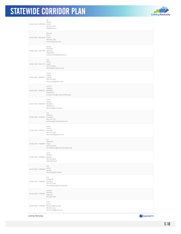

| 03/03/2020 58037800 Hardin   | Bo<br>Martin<br>270-769-2393<br>bo@ltadd.org                                                     |
|------------------------------|--------------------------------------------------------------------------------------------------|
| 03/03/2020 58035938 Martin   | Rhonda<br>Price<br>606-626-7200<br>rrpric01@yahoo.com                                            |
| 03/02/2020 58013705 Kentucky | Buddy<br>Chandler<br>2708713927<br>mattoonvfd1994@exede.net                                      |
| 03/02/2020 58013173 Logan    | Dan<br>Kemp<br>270-725-0565<br>dkemp@kempfarms.org                                               |
| 03/02/2020 58008125 Fayette  | Chuck<br>O'Neal<br>859-575-0136<br>chuck.oneal@kctcs.edu                                         |
| 03/02/2020 58007231 MONROE   | SCOTTY<br>TURNER<br>2704876776<br>scotty.turner@tompkinsvilleky.gov                              |
| 03/02/2020 58000013 Bourbon  | Daron<br>Jordan<br>8599872110<br>djordan@paris.ky.gov                                            |
| 03/02/2020 57992318 Campbell | Tim<br>Williams<br>859-341-7373<br>twilliams@crestviewhills.com                                  |
| 03/02/2020 57992573 Nicholas | Doug<br>French<br>859-707-0325<br>dfrench405@yahoo.com                                           |
| 03/02/2020 57988997 Floyd    | Les<br>Stapleton<br>606-339-5909<br>les.stapleton@prestonsburgcity.org                           |
| 03/02/2020 57988850 Spencer  | Larry<br>McClain<br>502-321-8646<br>1680 Mill Road                                               |
| 03/02/2020 57988498          | Kim<br>banta<br>Kenton<br>kim.banta@lrc.ky.gov                                                   |
| 03/02/2020 57988191 Calloway | Eric<br>Pologruto<br>270-762-0320<br>eric.pologruto@murrayky.gov                                 |
| 03/02/2020 57985176          | wharton<br>wharton<br>Jefferson<br>502-485-1695                                                  |
|                              | John<br>Lucas<br>03/02/2020 57980463 Breckinridge County<br>555-555-5555<br>john.lucas@gmail.com |
| Linking Kentucky             | P QuestionPro                                                                                    |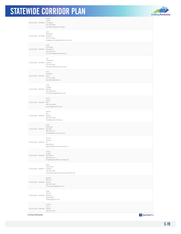

| 03/02/2020 57978993 Livingston                | James<br>Lamb<br>270-556-8385<br>jlamb@livingstonco.ky.gov               |
|-----------------------------------------------|--------------------------------------------------------------------------|
| 03/02/2020 57977698 Hopkins                   | Jack<br>Whitfield<br>270-821-8294<br>judgeexecutive@hopkinscounty.net    |
| 03/02/2020 57976702 Henderson                 | Brad<br>Schneider<br>270-826-3971<br>Bschneider@hendersonky.us           |
| 03/02/2020 57975892 Daviess                   | Pat<br>Thompson<br>270-695-9019<br>firecop402@roadrunner.com             |
| 03/02/2020 57975353 Ohio                      | Paul<br>Sandefur<br>270-274-7106<br>psandefur@bdky.us                    |
| 03/02/2020 57973540 McLean                    | Vicki<br>Hughes<br>270-486-3992<br>islandcityof@bellsouth.net            |
| 03/02/2020 57972097 Bell                      | Jason<br>Partin<br>606-246-0466<br>jpartin@frakesfire.com                |
| 03/02/2020 57968729 Kenton                    | Daniel<br>Bell<br>859-653-9536<br>Dbell@taylormillky.gov                 |
| 03/02/2020 57967731 Bourbon                   | Mark<br>Matthews<br>859-340-0117<br>bcso800@roadrunner.com               |
| 03/02/2020 57967143 KY                        | Jimmie<br>Greene<br>6063762413<br>bgreene@mccrearycounty.com             |
| 03/02/2020 57966925 Woodford                  | Tracie<br>Wright<br>859-873-4231<br>twright@woodfordcountyky.org         |
| 03/02/2020 57966317 Hopkins                   | Matt<br>Sanderson<br>270-821-5661<br>msanderson@hopkinscountysheriff.com |
| 03/02/2020 57966213 Rowan                     | William<br>Blevins<br>606-784-4333<br>rowancoems@yahoo.com               |
| 03/02/2020 57964853 Madison                   | Dean<br>Vencill<br>8593391260<br>cfd825@gmail.com                        |
| 03/02/2020 57964842 GRANT<br>Linking Kentucky | CHUCK<br>DILLS<br>859-823-7561<br>P QuestionPro                          |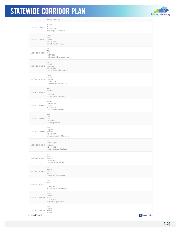

|                               | cdills@grantco.org                                                             |
|-------------------------------|--------------------------------------------------------------------------------|
| 03/02/2020 57964933           | Nathan<br>Nation<br>502-655-5701<br>tscfd5701@mw.twcbc.com                     |
| 03/02/2020 57964240 Spencer   | James<br>Tipon<br>502-639-7079<br>James.Tipton@lrc.ky.gov                      |
| 03/02/2020 57963679           | Leo<br>Miller<br>Harlan<br>6065734300<br>lmiller@leomillerengineering.com      |
| 03/02/2020 57963782 Edmonson  | Lori<br>Burnett<br>270-597-3814<br>brownsville@windstream.net                  |
| 03/02/2020 57963722 Simpson   | Mason<br>Barnes<br>270-586-7184<br>mbarnes@simpsoncounty.us                    |
| 03/02/2020 57963114           | Tom<br>Hodges<br>KY<br>2702362594<br>tom_hodges@bellsouth.net                  |
| 03/02/2020 57963098 Jefferson | Douglas<br>Recktenwald<br>502-935-3878<br>drecktenwald@prpfire.org             |
| 03/02/2020 57961885 Grant     | Lonnie<br>Kuhn<br>8592428684<br>Ki4wef@gmail.com                               |
| 03/02/2020 57961815 Jefferson | John<br>Vaughan<br>502-216-3697<br>john.vaughan@lehighhanson.com               |
| 03/02/2020 57961507           | Rob<br>Rothenburger<br>Kentucky<br>502-564-8100<br>Rob.Rothenburger@lrc.ky.gov |
| 03/02/2020 57960271 Campbell  | Eric<br>Haas<br>513-739-4227<br>erichaas4227@gmail.com                         |
| 03/02/2020 57961204 Jefferson | Andy<br>Longstreet<br>502-245-7555<br>alongstreet@amfems.org                   |
| 03/02/2020 57960611 KY        | Scott<br>Wilson<br>2708603333<br>scottwilson63@bellsouth.net                   |
| 03/02/2020 57960776 Hardin    | David<br>Walters<br>270-737-2494<br>rineyvillefire@gmail.com                   |
| 03/02/2020 57960159 Oldham    | David<br>Voegele                                                               |
| Linking Kentucky              | noccoon<br><b>P</b> QuestionPro                                                |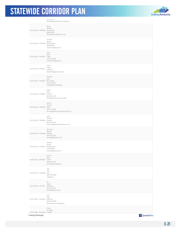

|                                | JULLLLJJJ/<br>dvoegele@oldhamcountyky.gov                           |
|--------------------------------|---------------------------------------------------------------------|
| 03/02/2020 57959766 Rockcastle | Bryan<br>Mullins<br>8596613015<br>BryanMullins7@Gmail.com           |
| 03/02/2020 57959904 Washington | timothy<br>graves<br>8593365410<br>washcofc@kyol.net                |
| 03/02/2020 57959827 Trigg      | Lucy<br>Kyler<br>270-522-8459<br>tctreasurer@att.net                |
| 03/02/2020 57959147            | David<br>Tilford<br>Jefferson<br>dwtilford@bellsouth.net            |
| 03/02/2020 57959527            | Stephen<br>Kyle<br>McCracken<br>270-444-8521<br>skyle@paducahky.gov |
| 03/02/2020 57958560 Letcher    | Jason<br>Back<br>606-633-2129<br>Jback@letchercounty.ky.gov         |
| 03/02/2020 57958075 Allen      | Dennis<br>Harper<br>270-237-3626<br>dennis@allencountykentucky.com  |
| 03/02/2020 57958463 Gallatin   | Lesa<br>Bullard<br>859-393-1807<br>lbullard@gallatinfiscalcourt.com |
| 03/02/2020 57958468 Whitley    | Brandon<br>Woods<br>606-521-9423<br>breidw@hotmail.com              |
| 03/02/2020 57958149            | Keenan<br>Durall<br>Muhlenberg<br>2702258022<br>K.durall@yahoo.com  |
| 03/02/2020 57958207 Laurel     | Jessica<br>Bray<br>606-864-7391<br>jessicab@cvadd.org               |
| 02/20/2020 57230698            | test<br>test<br>test<br>999-999-9999<br>SSS@XXXX                    |
| 02/20/2020 57217776 Jefferson  | Ed<br>Green<br>502-544-2917<br>eavert@yahoo.com                     |
| 01/27/2020 54404677            | test<br>test<br>jefferson<br>859-999-9999<br>amanda.spencer@ky.gov  |
| 01/25/2020 54363355 Favette    | Steve<br>De Witte                                                   |
| Linking Kentucky               | P QuestionPro                                                       |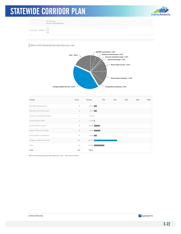

01/25/2020 54363355 Fayette 502-782-5056 stephen.dewitte@ky.gov 01/25/2020 54356315 test test

test

#### Which of the following best describes your role:



| Answer                            | Count          | Percent  | 20% | 40% | 60% | 80% | 100% |
|-----------------------------------|----------------|----------|-----|-----|-----|-----|------|
| ADD/MPO representative            | 15             | 5.84%    |     |     |     |     |      |
| Business/community leader         | 14             | 5.45%    |     |     |     |     |      |
| Economic development leader       | $\overline{2}$ | $0.78\%$ |     |     |     |     |      |
| Elected official (state)          | 5              | 1.95%    |     |     |     |     |      |
| Elected official (county)         | 27             | 10.51%   |     |     |     |     |      |
| Elected official (municipal)      | 29             | 11.28%   |     |     |     |     |      |
| Transportation professional       | 14             | 5.45%    |     |     |     |     |      |
| <b>Emergency Medical Services</b> | 104            | 40.47%   |     |     |     |     |      |
| Other                             | 47             | 18.29%   |     |     |     |     |      |
| Total                             | 257            | 100 %    |     |     |     |     |      |

Which of the following best describes your role: - Text Data for Other

Linking Kentucky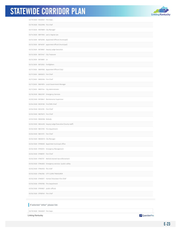

| 03/19/2020 59240021 Fire Dept.         |                                                           |
|----------------------------------------|-----------------------------------------------------------|
| 03/19/2020 59222996 Fire chief         |                                                           |
| 03/17/2020 59079869 City Manager       |                                                           |
| 03/14/2020 58911904 Just a regular joe |                                                           |
|                                        | 03/12/2020 58752506 Appointed Official (municipal)        |
|                                        | 03/12/2020 58746107 appointed official (municipal)        |
|                                        | 03/12/2020 58728667 Deputy Judge Executive                |
| 03/12/2020 58727447 City Treasurer     |                                                           |
| 03/12/2020 58726861 Lo                 |                                                           |
| 03/12/2020 58722922 Firefighters       |                                                           |
|                                        | 03/11/2020 58697683 Appointed Official (City)             |
| 03/11/2020 58692672 Fire Chief         |                                                           |
| 03/11/2020 58692304 Fire Chief         |                                                           |
|                                        | 03/11/2020 58691874 Local Government Manager              |
|                                        | 03/11/2020 58691144 City Administrator                    |
|                                        | 03/10/2020 58622397 Emergency Services                    |
|                                        | 03/05/2020 58199841 Maintenance Supervisor                |
| 03/04/2020 58129138 Fire/EMS Chief     |                                                           |
|                                        |                                                           |
| 03/04/2020 58122195 Fire Chief         |                                                           |
| 03/03/2020 58075073 Fire Chief         |                                                           |
| 03/03/2020 58060584 Nobody             |                                                           |
|                                        | 03/03/2020 58044292 Deputy Judge/Executive (County staff) |
| 03/02/2020 58013705 Fire department    |                                                           |
| 03/02/2020 58013173 Fire Chief         |                                                           |
| 03/02/2020 58000013 City Manager       |                                                           |
|                                        | 03/02/2020 57996565 Appointed municipal office            |
|                                        | 03/02/2020 57992573 Emergency Management                  |
| 03/02/2020 57988191 Fire Chief         |                                                           |
|                                        | 03/02/2020 57967731 Retired elected law enforcement       |
|                                        | 03/02/2020 57964853 Emergency services / public safety    |
| 03/02/2020 57964933 fire chief         |                                                           |
|                                        | 03/02/2020 57963782 CITY CLERK/TREASURER                  |
|                                        | 03/02/2020 57960611 Farmer/Volunteer Fire Chief           |
| 03/02/2020 57959766 Fire Department    |                                                           |
| 03/02/2020 57959827 public official    |                                                           |

#### If selected "other" please list:

03/19/2020 59240021 Fire Dept.

Linking Kentucky